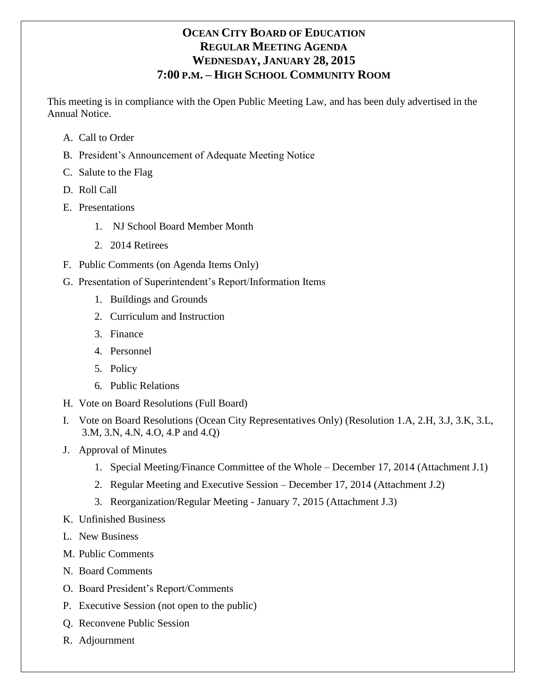# **OCEAN CITY BOARD OF EDUCATION REGULAR MEETING AGENDA WEDNESDAY, JANUARY 28, 2015 7:00 P.M. – HIGH SCHOOL COMMUNITY ROOM**

This meeting is in compliance with the Open Public Meeting Law, and has been duly advertised in the Annual Notice.

- A. Call to Order
- B. President's Announcement of Adequate Meeting Notice
- C. Salute to the Flag
- D. Roll Call
- E. Presentations
	- 1. NJ School Board Member Month
	- 2. 2014 Retirees
- F. Public Comments (on Agenda Items Only)
- G. Presentation of Superintendent's Report/Information Items
	- 1. Buildings and Grounds
	- 2. Curriculum and Instruction
	- 3. Finance
	- 4. Personnel
	- 5. Policy
	- 6. Public Relations
- H. Vote on Board Resolutions (Full Board)
- I. Vote on Board Resolutions (Ocean City Representatives Only) (Resolution 1.A, 2.H, 3.J, 3.K, 3.L, 3.M, 3.N, 4.N, 4.O, 4.P and 4.Q)
- J. Approval of Minutes
	- 1. Special Meeting/Finance Committee of the Whole December 17, 2014 (Attachment J.1)
	- 2. Regular Meeting and Executive Session December 17, 2014 (Attachment J.2)
	- 3. Reorganization/Regular Meeting January 7, 2015 (Attachment J.3)
- K. Unfinished Business
- L. New Business
- M. Public Comments
- N. Board Comments
- O. Board President's Report/Comments
- P. Executive Session (not open to the public)
- Q. Reconvene Public Session
- R. Adjournment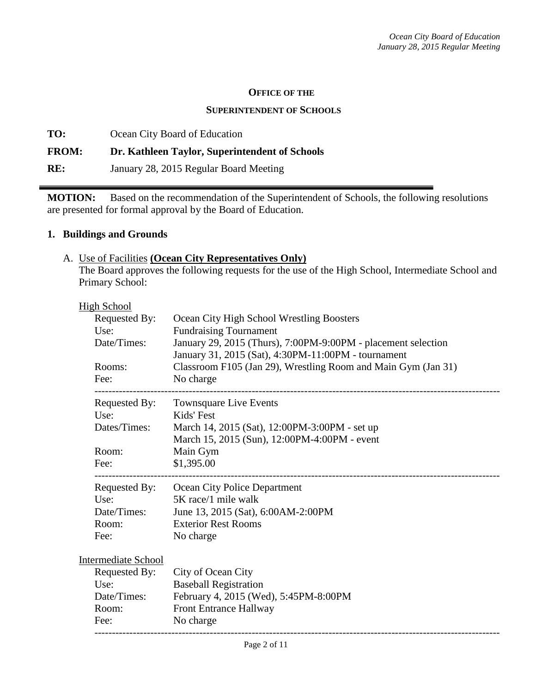#### **OFFICE OF THE**

#### **SUPERINTENDENT OF SCHOOLS**

**TO:** Ocean City Board of Education **FROM: Dr. Kathleen Taylor, Superintendent of Schools RE:** January 28, 2015 Regular Board Meeting

**MOTION:** Based on the recommendation of the Superintendent of Schools, the following resolutions are presented for formal approval by the Board of Education.

## **1. Buildings and Grounds**

## A. Use of Facilities **(Ocean City Representatives Only)**

The Board approves the following requests for the use of the High School, Intermediate School and Primary School:

| <b>High School</b> |                     |                                                               |  |  |
|--------------------|---------------------|---------------------------------------------------------------|--|--|
|                    | Requested By:       | Ocean City High School Wrestling Boosters                     |  |  |
|                    | Use:                | <b>Fundraising Tournament</b>                                 |  |  |
|                    | Date/Times:         | January 29, 2015 (Thurs), 7:00PM-9:00PM - placement selection |  |  |
|                    |                     | January 31, 2015 (Sat), 4:30PM-11:00PM - tournament           |  |  |
|                    | Rooms:              | Classroom F105 (Jan 29), Wrestling Room and Main Gym (Jan 31) |  |  |
|                    | Fee:                | No charge                                                     |  |  |
|                    |                     | Requested By: Townsquare Live Events                          |  |  |
|                    | Use:                | Kids' Fest                                                    |  |  |
|                    | Dates/Times:        | March 14, 2015 (Sat), 12:00PM-3:00PM - set up                 |  |  |
|                    |                     | March 15, 2015 (Sun), 12:00PM-4:00PM - event                  |  |  |
|                    | Room:               | Main Gym                                                      |  |  |
|                    | Fee:                | \$1,395.00                                                    |  |  |
|                    | Requested By:       | Ocean City Police Department                                  |  |  |
|                    | Use:                | 5K race/1 mile walk                                           |  |  |
|                    | Date/Times:         | June 13, 2015 (Sat), 6:00AM-2:00PM                            |  |  |
|                    | Room:               | <b>Exterior Rest Rooms</b>                                    |  |  |
|                    | Fee:                | No charge                                                     |  |  |
|                    | Intermediate School |                                                               |  |  |
|                    | Requested By:       | City of Ocean City                                            |  |  |
|                    | Use:                | <b>Baseball Registration</b>                                  |  |  |
|                    | Date/Times:         | February 4, 2015 (Wed), 5:45PM-8:00PM                         |  |  |
|                    | Room:               | <b>Front Entrance Hallway</b>                                 |  |  |
|                    | Fee:                | No charge                                                     |  |  |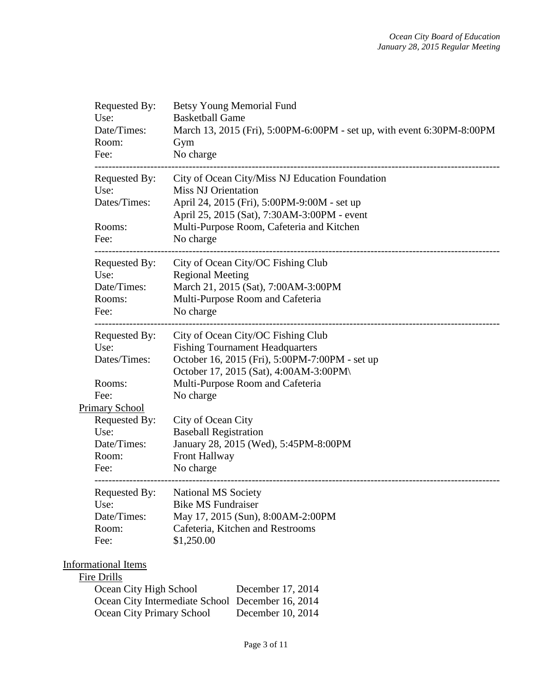| Requested By:<br>Use:<br>Date/Times:<br>Room:<br>Fee: | Betsy Young Memorial Fund<br><b>Basketball Game</b><br>March 13, 2015 (Fri), 5:00PM-6:00PM - set up, with event 6:30PM-8:00PM<br>Gym<br>No charge |
|-------------------------------------------------------|---------------------------------------------------------------------------------------------------------------------------------------------------|
| Requested By:                                         | City of Ocean City/Miss NJ Education Foundation                                                                                                   |
| Use:                                                  | <b>Miss NJ Orientation</b>                                                                                                                        |
| Dates/Times:                                          | April 24, 2015 (Fri), 5:00PM-9:00M - set up                                                                                                       |
| Rooms:                                                | April 25, 2015 (Sat), 7:30AM-3:00PM - event<br>Multi-Purpose Room, Cafeteria and Kitchen                                                          |
| Fee:                                                  | No charge                                                                                                                                         |
|                                                       |                                                                                                                                                   |
| Requested By:                                         | City of Ocean City/OC Fishing Club                                                                                                                |
| Use:                                                  | <b>Regional Meeting</b>                                                                                                                           |
| Date/Times:                                           | March 21, 2015 (Sat), 7:00AM-3:00PM                                                                                                               |
| Rooms:                                                | Multi-Purpose Room and Cafeteria                                                                                                                  |
| Fee:                                                  | No charge                                                                                                                                         |
| Requested By:                                         | City of Ocean City/OC Fishing Club                                                                                                                |
| Use:                                                  | <b>Fishing Tournament Headquarters</b>                                                                                                            |
| Dates/Times:                                          | October 16, 2015 (Fri), 5:00PM-7:00PM - set up                                                                                                    |
|                                                       | October 17, 2015 (Sat), 4:00AM-3:00PM\                                                                                                            |
| Rooms:                                                | Multi-Purpose Room and Cafeteria                                                                                                                  |
| Fee:                                                  | No charge                                                                                                                                         |
| Primary School                                        |                                                                                                                                                   |
| Requested By:                                         | City of Ocean City                                                                                                                                |
| Use:                                                  | <b>Baseball Registration</b>                                                                                                                      |
| Date/Times:                                           | January 28, 2015 (Wed), 5:45PM-8:00PM                                                                                                             |
| Room:                                                 | <b>Front Hallway</b>                                                                                                                              |
| Fee:                                                  | No charge                                                                                                                                         |
|                                                       | Requested By: National MS Society                                                                                                                 |
| Use:                                                  | <b>Bike MS Fundraiser</b>                                                                                                                         |
| Date/Times:                                           | May 17, 2015 (Sun), 8:00AM-2:00PM                                                                                                                 |
| Room:                                                 | Cafeteria, Kitchen and Restrooms                                                                                                                  |
| Fee:                                                  | \$1,250.00                                                                                                                                        |
|                                                       |                                                                                                                                                   |
| <b>Informational Items</b><br>Fire Drills             |                                                                                                                                                   |
|                                                       |                                                                                                                                                   |

| Ocean City High School                           | December 17, 2014 |
|--------------------------------------------------|-------------------|
| Ocean City Intermediate School December 16, 2014 |                   |
| <b>Ocean City Primary School</b>                 | December 10, 2014 |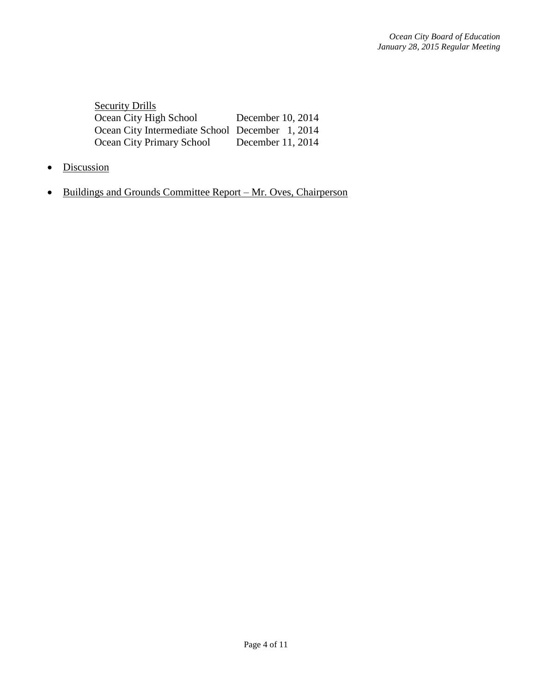| <b>Security Drills</b>                          |                   |
|-------------------------------------------------|-------------------|
| Ocean City High School                          | December 10, 2014 |
| Ocean City Intermediate School December 1, 2014 |                   |
| <b>Ocean City Primary School</b>                | December 11, 2014 |

- Discussion
- Buildings and Grounds Committee Report Mr. Oves, Chairperson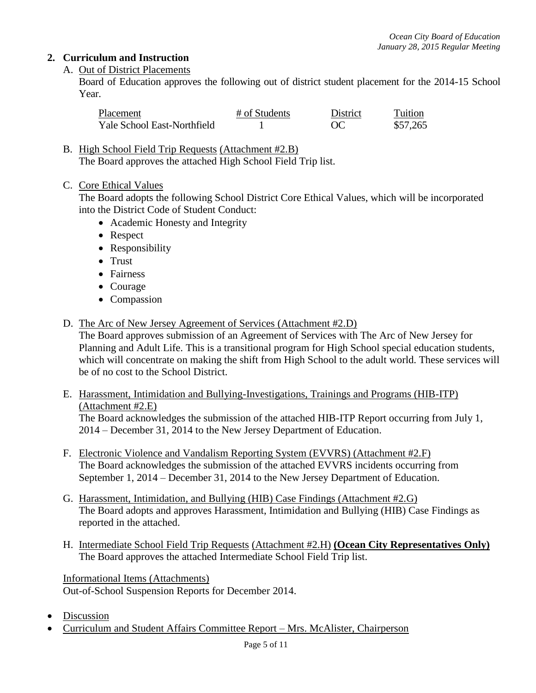## **2. Curriculum and Instruction**

## A. Out of District Placements

Board of Education approves the following out of district student placement for the 2014-15 School Year.

| Placement                   | # of Students | District | Tuition  |
|-----------------------------|---------------|----------|----------|
| Yale School East-Northfield |               |          | \$57,265 |

B. High School Field Trip Requests (Attachment #2.B) The Board approves the attached High School Field Trip list.

C. Core Ethical Values

The Board adopts the following School District Core Ethical Values, which will be incorporated into the District Code of Student Conduct:

- Academic Honesty and Integrity
- Respect
- Responsibility
- Trust
- Fairness
- Courage
- Compassion
- D. The Arc of New Jersey Agreement of Services (Attachment #2.D)

The Board approves submission of an Agreement of Services with The Arc of New Jersey for Planning and Adult Life. This is a transitional program for High School special education students, which will concentrate on making the shift from High School to the adult world. These services will be of no cost to the School District.

E. Harassment, Intimidation and Bullying-Investigations, Trainings and Programs (HIB-ITP) (Attachment #2.E)

The Board acknowledges the submission of the attached HIB-ITP Report occurring from July 1, 2014 – December 31, 2014 to the New Jersey Department of Education.

- F. Electronic Violence and Vandalism Reporting System (EVVRS) (Attachment #2.F) The Board acknowledges the submission of the attached EVVRS incidents occurring from September 1, 2014 – December 31, 2014 to the New Jersey Department of Education.
- G. Harassment, Intimidation, and Bullying (HIB) Case Findings (Attachment #2.G) The Board adopts and approves Harassment, Intimidation and Bullying (HIB) Case Findings as reported in the attached.
- H. Intermediate School Field Trip Requests (Attachment #2.H) **(Ocean City Representatives Only)** The Board approves the attached Intermediate School Field Trip list.

Informational Items (Attachments) Out-of-School Suspension Reports for December 2014.

- Discussion
- Curriculum and Student Affairs Committee Report Mrs. McAlister, Chairperson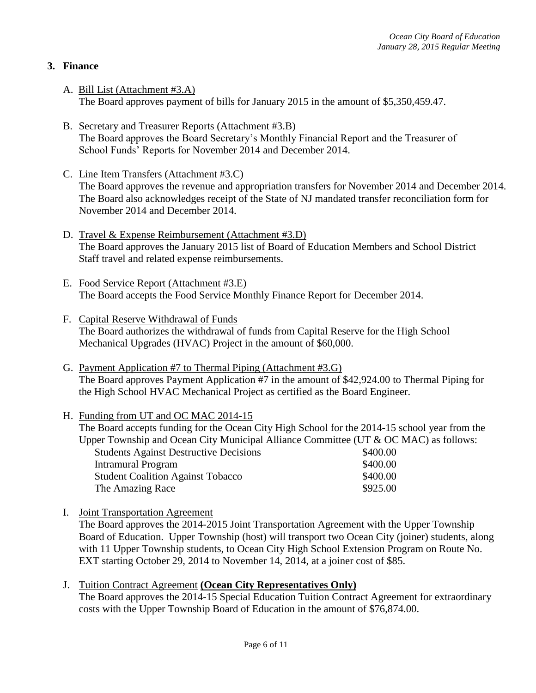## **3. Finance**

- A. Bill List (Attachment #3.A) The Board approves payment of bills for January 2015 in the amount of \$5,350,459.47.
- B. Secretary and Treasurer Reports (Attachment #3.B) The Board approves the Board Secretary's Monthly Financial Report and the Treasurer of School Funds' Reports for November 2014 and December 2014.
- C. Line Item Transfers (Attachment #3.C) The Board approves the revenue and appropriation transfers for November 2014 and December 2014. The Board also acknowledges receipt of the State of NJ mandated transfer reconciliation form for November 2014 and December 2014.
- D. Travel & Expense Reimbursement (Attachment #3.D) The Board approves the January 2015 list of Board of Education Members and School District Staff travel and related expense reimbursements.
- E. Food Service Report (Attachment #3.E) The Board accepts the Food Service Monthly Finance Report for December 2014.
- F. Capital Reserve Withdrawal of Funds The Board authorizes the withdrawal of funds from Capital Reserve for the High School Mechanical Upgrades (HVAC) Project in the amount of \$60,000.
- G. Payment Application #7 to Thermal Piping (Attachment #3.G) The Board approves Payment Application #7 in the amount of \$42,924.00 to Thermal Piping for the High School HVAC Mechanical Project as certified as the Board Engineer.

#### H. Funding from UT and OC MAC 2014-15

The Board accepts funding for the Ocean City High School for the 2014-15 school year from the Upper Township and Ocean City Municipal Alliance Committee (UT & OC MAC) as follows:

| <b>Students Against Destructive Decisions</b> | \$400.00 |
|-----------------------------------------------|----------|
| Intramural Program                            | \$400.00 |
| <b>Student Coalition Against Tobacco</b>      | \$400.00 |
| The Amazing Race                              | \$925.00 |

- I. Joint Transportation Agreement The Board approves the 2014-2015 Joint Transportation Agreement with the Upper Township Board of Education. Upper Township (host) will transport two Ocean City (joiner) students, along with 11 Upper Township students, to Ocean City High School Extension Program on Route No. EXT starting October 29, 2014 to November 14, 2014, at a joiner cost of \$85.
- J. Tuition Contract Agreement **(Ocean City Representatives Only)**  The Board approves the 2014-15 Special Education Tuition Contract Agreement for extraordinary costs with the Upper Township Board of Education in the amount of \$76,874.00.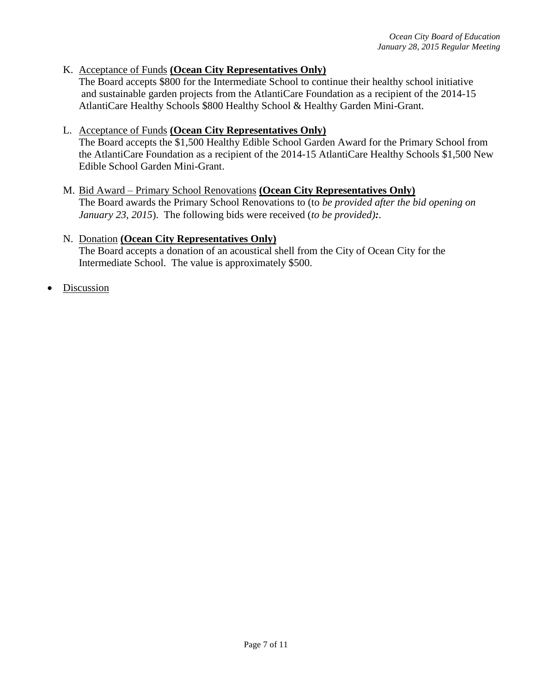#### K. Acceptance of Funds **(Ocean City Representatives Only)**

The Board accepts \$800 for the Intermediate School to continue their healthy school initiative and sustainable garden projects from the AtlantiCare Foundation as a recipient of the 2014-15 AtlantiCare Healthy Schools \$800 Healthy School & Healthy Garden Mini-Grant.

#### L. Acceptance of Funds **(Ocean City Representatives Only)**

The Board accepts the \$1,500 Healthy Edible School Garden Award for the Primary School from the AtlantiCare Foundation as a recipient of the 2014-15 AtlantiCare Healthy Schools \$1,500 New Edible School Garden Mini-Grant.

# M. Bid Award – Primary School Renovations **(Ocean City Representatives Only)**

The Board awards the Primary School Renovations to (to *be provided after the bid opening on January 23, 2015*). The following bids were received (*to be provided):.*

## N. Donation **(Ocean City Representatives Only)**

The Board accepts a donation of an acoustical shell from the City of Ocean City for the Intermediate School. The value is approximately \$500.

Discussion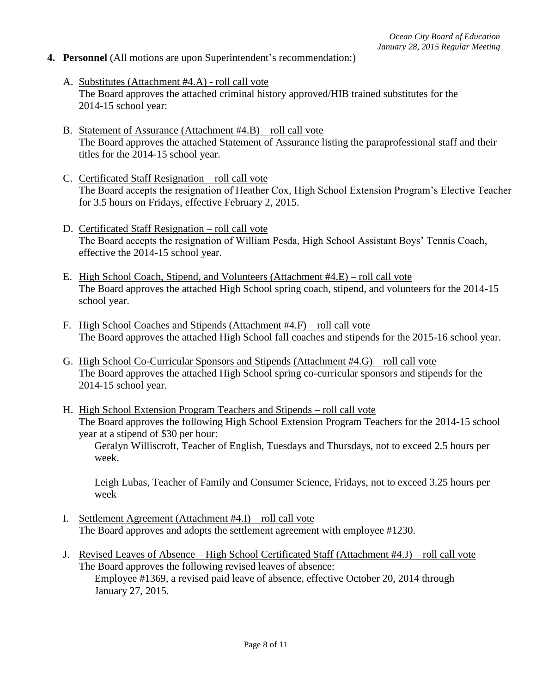#### **4. Personnel** (All motions are upon Superintendent's recommendation:)

- A. Substitutes (Attachment #4.A) roll call vote The Board approves the attached criminal history approved/HIB trained substitutes for the 2014-15 school year:
- B. Statement of Assurance (Attachment #4.B) roll call vote The Board approves the attached Statement of Assurance listing the paraprofessional staff and their titles for the 2014-15 school year.
- C. Certificated Staff Resignation roll call vote The Board accepts the resignation of Heather Cox, High School Extension Program's Elective Teacher for 3.5 hours on Fridays, effective February 2, 2015.
- D. Certificated Staff Resignation roll call vote The Board accepts the resignation of William Pesda, High School Assistant Boys' Tennis Coach, effective the 2014-15 school year.
- E. High School Coach, Stipend, and Volunteers (Attachment #4.E) roll call vote The Board approves the attached High School spring coach, stipend, and volunteers for the 2014-15 school year.
- F. High School Coaches and Stipends (Attachment #4.F) roll call vote The Board approves the attached High School fall coaches and stipends for the 2015-16 school year.
- G. High School Co-Curricular Sponsors and Stipends (Attachment #4.G) roll call vote The Board approves the attached High School spring co-curricular sponsors and stipends for the 2014-15 school year.
- H. High School Extension Program Teachers and Stipends roll call vote The Board approves the following High School Extension Program Teachers for the 2014-15 school year at a stipend of \$30 per hour:

Geralyn Williscroft, Teacher of English, Tuesdays and Thursdays, not to exceed 2.5 hours per week.

Leigh Lubas, Teacher of Family and Consumer Science, Fridays, not to exceed 3.25 hours per week

- I. Settlement Agreement (Attachment #4.I) roll call vote The Board approves and adopts the settlement agreement with employee #1230.
- J. Revised Leaves of Absence High School Certificated Staff (Attachment #4.J) roll call vote The Board approves the following revised leaves of absence: Employee #1369, a revised paid leave of absence, effective October 20, 2014 through January 27, 2015.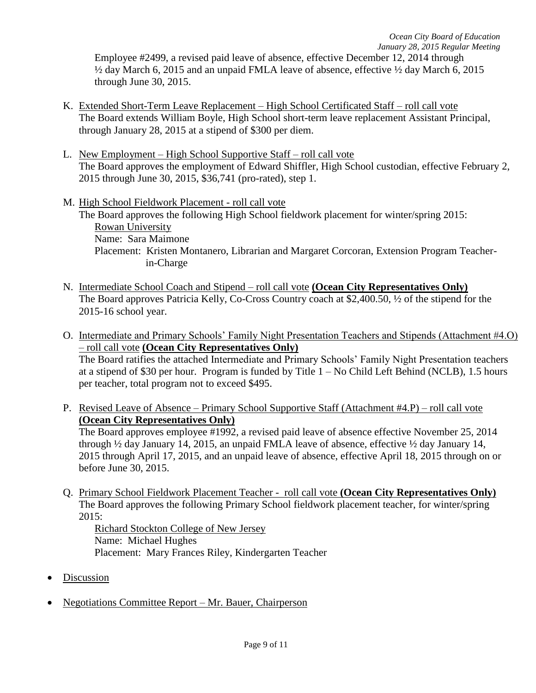Employee #2499, a revised paid leave of absence, effective December 12, 2014 through ½ day March 6, 2015 and an unpaid FMLA leave of absence, effective ½ day March 6, 2015 through June 30, 2015.

- K. Extended Short-Term Leave Replacement High School Certificated Staff roll call vote The Board extends William Boyle, High School short-term leave replacement Assistant Principal, through January 28, 2015 at a stipend of \$300 per diem.
- L. New Employment High School Supportive Staff roll call vote The Board approves the employment of Edward Shiffler, High School custodian, effective February 2, 2015 through June 30, 2015, \$36,741 (pro-rated), step 1.
- M. High School Fieldwork Placement roll call vote The Board approves the following High School fieldwork placement for winter/spring 2015: **Rowan University** Name: Sara Maimone Placement: Kristen Montanero, Librarian and Margaret Corcoran, Extension Program Teacherin-Charge
- N. Intermediate School Coach and Stipend roll call vote **(Ocean City Representatives Only)** The Board approves Patricia Kelly, Co-Cross Country coach at \$2,400.50, ½ of the stipend for the 2015-16 school year.
- O. Intermediate and Primary Schools' Family Night Presentation Teachers and Stipends (Attachment #4.O) – roll call vote **(Ocean City Representatives Only)** The Board ratifies the attached Intermediate and Primary Schools' Family Night Presentation teachers at a stipend of \$30 per hour. Program is funded by Title 1 – No Child Left Behind (NCLB), 1.5 hours per teacher, total program not to exceed \$495.
- P. Revised Leave of Absence Primary School Supportive Staff (Attachment #4.P) roll call vote **(Ocean City Representatives Only)** The Board approves employee #1992, a revised paid leave of absence effective November 25, 2014

through ½ day January 14, 2015, an unpaid FMLA leave of absence, effective ½ day January 14, 2015 through April 17, 2015, and an unpaid leave of absence, effective April 18, 2015 through on or before June 30, 2015.

Q. Primary School Fieldwork Placement Teacher - roll call vote **(Ocean City Representatives Only)** The Board approves the following Primary School fieldwork placement teacher, for winter/spring 2015:

Richard Stockton College of New Jersey Name: Michael Hughes Placement: Mary Frances Riley, Kindergarten Teacher

- Discussion
- Negotiations Committee Report Mr. Bauer, Chairperson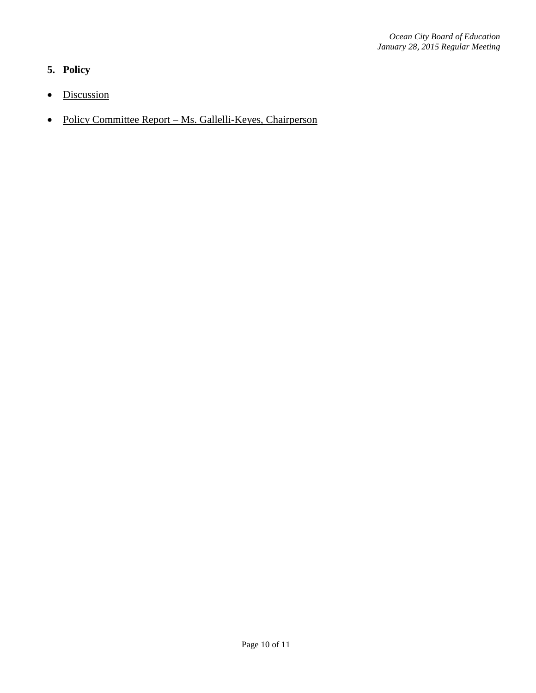## **5. Policy**

- Discussion
- Policy Committee Report Ms. Gallelli-Keyes, Chairperson